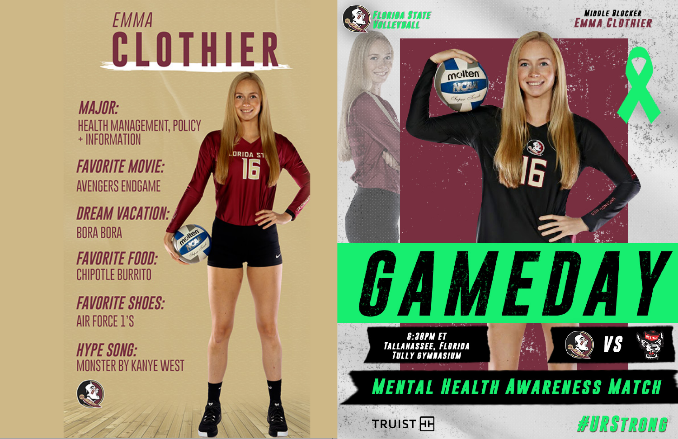# EMMA CLOTHIER

**DRIDA ST** 

G

**MAJOR:** HEALTH MANAGEMENT, POLICY + INFORMATION

**FAVORITE MOVIE: AVENGERS ENDGAME** 

**DREAM VACATION: BORA BORA** 

**FAVORITE FOOD: CHIPOTLE BURRITO** 

**FAVORITE SHOES:** AIR FORCE 1'S

**HYPE SONG: MONSTER BY KANYE WEST** 









**G:30PM ET<br>TALLAHASSEE, FLORIDA<br>TULLY GYMNASIUM** 

**TRUIST HH** 





## **MENTAL HEALTH AWARENESS MATCH**

WURSTRONG